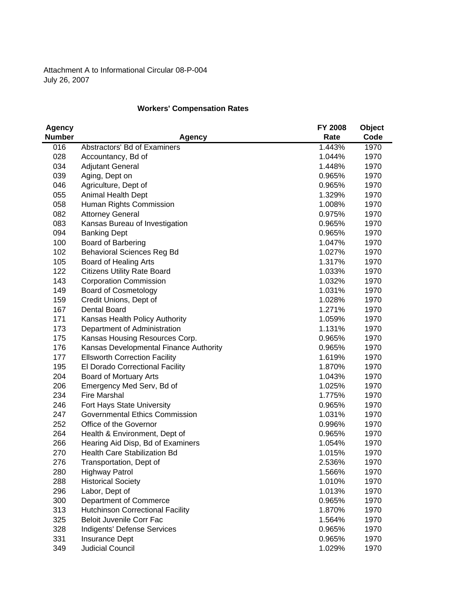Attachment A to Informational Circular 08-P-004 July 26, 2007

## **Workers' Compensation Rates**

| <b>Agency</b> |                                         | FY 2008 | <b>Object</b> |
|---------------|-----------------------------------------|---------|---------------|
| <b>Number</b> | <b>Agency</b>                           | Rate    | Code          |
| 016           | Abstractors' Bd of Examiners            | 1.443%  | 1970          |
| 028           | Accountancy, Bd of                      | 1.044%  | 1970          |
| 034           | <b>Adjutant General</b>                 | 1.448%  | 1970          |
| 039           | Aging, Dept on                          | 0.965%  | 1970          |
| 046           | Agriculture, Dept of                    | 0.965%  | 1970          |
| 055           | Animal Health Dept                      | 1.329%  | 1970          |
| 058           | Human Rights Commission                 | 1.008%  | 1970          |
| 082           | <b>Attorney General</b>                 | 0.975%  | 1970          |
| 083           | Kansas Bureau of Investigation          | 0.965%  | 1970          |
| 094           | <b>Banking Dept</b>                     | 0.965%  | 1970          |
| 100           | <b>Board of Barbering</b>               | 1.047%  | 1970          |
| 102           | <b>Behavioral Sciences Reg Bd</b>       | 1.027%  | 1970          |
| 105           | Board of Healing Arts                   | 1.317%  | 1970          |
| 122           | <b>Citizens Utility Rate Board</b>      | 1.033%  | 1970          |
| 143           | <b>Corporation Commission</b>           | 1.032%  | 1970          |
| 149           | <b>Board of Cosmetology</b>             | 1.031%  | 1970          |
| 159           | Credit Unions, Dept of                  | 1.028%  | 1970          |
| 167           | <b>Dental Board</b>                     | 1.271%  | 1970          |
| 171           | Kansas Health Policy Authority          | 1.059%  | 1970          |
| 173           | Department of Administration            | 1.131%  | 1970          |
| 175           | Kansas Housing Resources Corp.          | 0.965%  | 1970          |
| 176           | Kansas Developmental Finance Authority  | 0.965%  | 1970          |
| 177           | <b>Ellsworth Correction Facility</b>    | 1.619%  | 1970          |
| 195           | El Dorado Correctional Facility         | 1.870%  | 1970          |
| 204           | Board of Mortuary Arts                  | 1.043%  | 1970          |
| 206           | Emergency Med Serv, Bd of               | 1.025%  | 1970          |
| 234           | <b>Fire Marshal</b>                     | 1.775%  | 1970          |
| 246           | Fort Hays State University              | 0.965%  | 1970          |
| 247           | <b>Governmental Ethics Commission</b>   | 1.031%  | 1970          |
| 252           | Office of the Governor                  | 0.996%  | 1970          |
| 264           | Health & Environment, Dept of           | 0.965%  | 1970          |
| 266           | Hearing Aid Disp, Bd of Examiners       | 1.054%  | 1970          |
| 270           | Health Care Stabilization Bd            | 1.015%  | 1970          |
| 276           | Transportation, Dept of                 | 2.536%  | 1970          |
| 280           | <b>Highway Patrol</b>                   | 1.566%  | 1970          |
| 288           | <b>Historical Society</b>               | 1.010%  | 1970          |
| 296           | Labor, Dept of                          | 1.013%  | 1970          |
| 300           | Department of Commerce                  | 0.965%  | 1970          |
| 313           | <b>Hutchinson Correctional Facility</b> | 1.870%  | 1970          |
| 325           | <b>Beloit Juvenile Corr Fac</b>         | 1.564%  | 1970          |
| 328           | Indigents' Defense Services             | 0.965%  | 1970          |
| 331           | <b>Insurance Dept</b>                   | 0.965%  | 1970          |
| 349           | <b>Judicial Council</b>                 | 1.029%  | 1970          |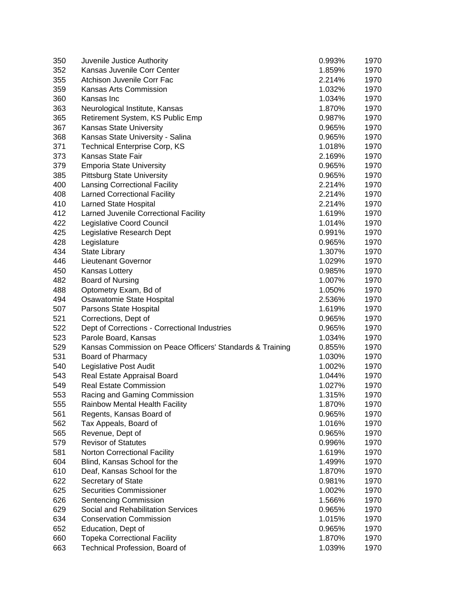| 350 | Juvenile Justice Authority                                | 0.993% | 1970 |
|-----|-----------------------------------------------------------|--------|------|
| 352 | Kansas Juvenile Corr Center                               | 1.859% | 1970 |
| 355 | Atchison Juvenile Corr Fac                                | 2.214% | 1970 |
| 359 | Kansas Arts Commission                                    | 1.032% | 1970 |
| 360 | Kansas Inc                                                | 1.034% | 1970 |
| 363 | Neurological Institute, Kansas                            | 1.870% | 1970 |
| 365 | Retirement System, KS Public Emp                          | 0.987% | 1970 |
| 367 | <b>Kansas State University</b>                            | 0.965% | 1970 |
| 368 | Kansas State University - Salina                          | 0.965% | 1970 |
| 371 | <b>Technical Enterprise Corp, KS</b>                      | 1.018% | 1970 |
| 373 | <b>Kansas State Fair</b>                                  | 2.169% | 1970 |
| 379 | <b>Emporia State University</b>                           | 0.965% | 1970 |
| 385 | <b>Pittsburg State University</b>                         | 0.965% | 1970 |
| 400 | <b>Lansing Correctional Facility</b>                      | 2.214% | 1970 |
| 408 | <b>Larned Correctional Facility</b>                       | 2.214% | 1970 |
| 410 | <b>Larned State Hospital</b>                              | 2.214% | 1970 |
| 412 | Larned Juvenile Correctional Facility                     | 1.619% | 1970 |
| 422 | Legislative Coord Council                                 | 1.014% | 1970 |
| 425 | Legislative Research Dept                                 | 0.991% | 1970 |
| 428 | Legislature                                               | 0.965% | 1970 |
| 434 | <b>State Library</b>                                      | 1.307% | 1970 |
| 446 | Lieutenant Governor                                       | 1.029% | 1970 |
| 450 | Kansas Lottery                                            | 0.985% | 1970 |
| 482 | Board of Nursing                                          | 1.007% | 1970 |
| 488 | Optometry Exam, Bd of                                     | 1.050% | 1970 |
| 494 | Osawatomie State Hospital                                 | 2.536% | 1970 |
| 507 | Parsons State Hospital                                    | 1.619% | 1970 |
| 521 | Corrections, Dept of                                      | 0.965% | 1970 |
| 522 | Dept of Corrections - Correctional Industries             | 0.965% | 1970 |
| 523 | Parole Board, Kansas                                      | 1.034% | 1970 |
| 529 | Kansas Commission on Peace Officers' Standards & Training | 0.855% | 1970 |
| 531 | Board of Pharmacy                                         | 1.030% | 1970 |
| 540 | Legislative Post Audit                                    | 1.002% | 1970 |
| 543 | Real Estate Appraisal Board                               | 1.044% | 1970 |
| 549 | <b>Real Estate Commission</b>                             | 1.027% | 1970 |
| 553 | Racing and Gaming Commission                              | 1.315% | 1970 |
| 555 | Rainbow Mental Health Facility                            | 1.870% | 1970 |
| 561 |                                                           | 0.965% | 1970 |
|     | Regents, Kansas Board of<br>Tax Appeals, Board of         | 1.016% |      |
| 562 |                                                           |        | 1970 |
| 565 | Revenue, Dept of                                          | 0.965% | 1970 |
| 579 | <b>Revisor of Statutes</b>                                | 0.996% | 1970 |
| 581 | <b>Norton Correctional Facility</b>                       | 1.619% | 1970 |
| 604 | Blind, Kansas School for the                              | 1.499% | 1970 |
| 610 | Deaf, Kansas School for the                               | 1.870% | 1970 |
| 622 | Secretary of State                                        | 0.981% | 1970 |
| 625 | <b>Securities Commissioner</b>                            | 1.002% | 1970 |
| 626 | Sentencing Commission                                     | 1.566% | 1970 |
| 629 | Social and Rehabilitation Services                        | 0.965% | 1970 |
| 634 | <b>Conservation Commission</b>                            | 1.015% | 1970 |
| 652 | Education, Dept of                                        | 0.965% | 1970 |
| 660 | <b>Topeka Correctional Facility</b>                       | 1.870% | 1970 |
| 663 | Technical Profession, Board of                            | 1.039% | 1970 |